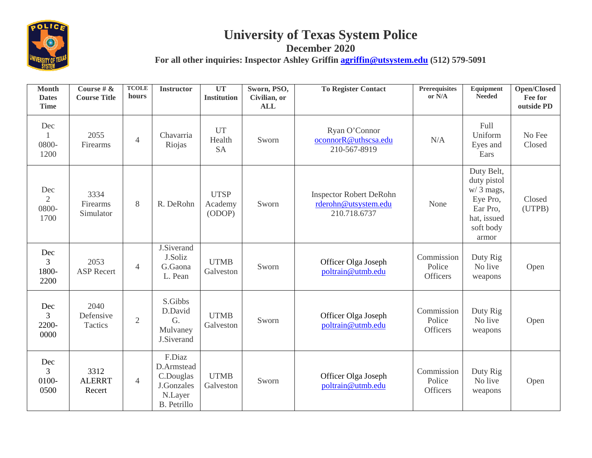

## **University of Texas System Police**

**December 2020 For all other inquiries: Inspector Ashley Griffin [agriffin@utsystem.edu](mailto:agriffin@utsystem.edu) (512) 579-5091**

| <b>Month</b><br><b>Dates</b><br><b>Time</b> | Course # $\&$<br><b>Course Title</b> | <b>TCOLE</b><br>hours | <b>Instructor</b>                                                                | UT<br><b>Institution</b>         | Sworn, PSO,<br>Civilian, or<br><b>ALL</b> | <b>To Register Contact</b>                                             | <b>Prerequisites</b><br>or N/A          | Equipment<br><b>Needed</b>                                                                            | <b>Open/Closed</b><br>Fee for<br>outside PD |
|---------------------------------------------|--------------------------------------|-----------------------|----------------------------------------------------------------------------------|----------------------------------|-------------------------------------------|------------------------------------------------------------------------|-----------------------------------------|-------------------------------------------------------------------------------------------------------|---------------------------------------------|
| Dec<br>0800-<br>1200                        | 2055<br>Firearms                     | $\overline{4}$        | Chavarria<br>Riojas                                                              | <b>UT</b><br>Health<br><b>SA</b> | Sworn                                     | Ryan O'Connor<br>oconnorR@uthscsa.edu<br>210-567-8919                  | N/A                                     | Full<br>Uniform<br>Eyes and<br>Ears                                                                   | No Fee<br>Closed                            |
| Dec<br>$\overline{2}$<br>0800-<br>1700      | 3334<br>Firearms<br>Simulator        | 8                     | R. DeRohn                                                                        | <b>UTSP</b><br>Academy<br>(ODOP) | Sworn                                     | <b>Inspector Robert DeRohn</b><br>rderohn@utsystem.edu<br>210.718.6737 | None                                    | Duty Belt,<br>duty pistol<br>$w/3$ mags,<br>Eye Pro,<br>Ear Pro,<br>hat, issued<br>soft body<br>armor | Closed<br>(UTPB)                            |
| Dec<br>3<br>1800-<br>2200                   | 2053<br><b>ASP Recert</b>            | $\overline{4}$        | J.Siverand<br>J.Soliz<br>G.Gaona<br>L. Pean                                      | <b>UTMB</b><br>Galveston         | Sworn                                     | Officer Olga Joseph<br>poltrain@utmb.edu                               | Commission<br>Police<br><b>Officers</b> | Duty Rig<br>No live<br>weapons                                                                        | Open                                        |
| Dec<br>3<br>2200-<br>0000                   | 2040<br>Defensive<br>Tactics         | $\overline{2}$        | S.Gibbs<br>D.David<br>G.<br>Mulvaney<br>J.Siverand                               | <b>UTMB</b><br>Galveston         | Sworn                                     | Officer Olga Joseph<br>poltrain@utmb.edu                               | Commission<br>Police<br><b>Officers</b> | Duty Rig<br>No live<br>weapons                                                                        | Open                                        |
| Dec<br>3<br>0100-<br>0500                   | 3312<br><b>ALERRT</b><br>Recert      | $\overline{4}$        | F.Diaz<br>D.Armstead<br>C.Douglas<br>J.Gonzales<br>N.Layer<br><b>B.</b> Petrillo | <b>UTMB</b><br>Galveston         | Sworn                                     | Officer Olga Joseph<br>poltrain@utmb.edu                               | Commission<br>Police<br><b>Officers</b> | Duty Rig<br>No live<br>weapons                                                                        | Open                                        |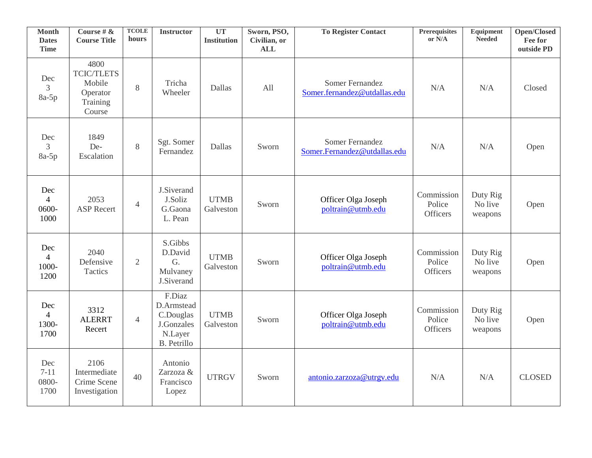| <b>Month</b><br><b>Dates</b><br><b>Time</b> | Course # $\&$<br><b>Course Title</b>                                  | <b>TCOLE</b><br>hours | <b>Instructor</b>                                                                | UT<br><b>Institution</b> | Sworn, PSO,<br>Civilian, or<br><b>ALL</b> | <b>To Register Contact</b>                      | Prerequisites<br>or N/A                 | Equipment<br><b>Needed</b>     | <b>Open/Closed</b><br>Fee for<br>outside PD |
|---------------------------------------------|-----------------------------------------------------------------------|-----------------------|----------------------------------------------------------------------------------|--------------------------|-------------------------------------------|-------------------------------------------------|-----------------------------------------|--------------------------------|---------------------------------------------|
| Dec<br>$\overline{3}$<br>8a-5p              | 4800<br><b>TCIC/TLETS</b><br>Mobile<br>Operator<br>Training<br>Course | 8                     | Tricha<br>Wheeler                                                                | Dallas                   | All                                       | Somer Fernandez<br>Somer.fernandez@utdallas.edu | N/A                                     | N/A                            | Closed                                      |
| Dec<br>$\overline{3}$<br>$8a-5p$            | 1849<br>De-<br>Escalation                                             | 8                     | Sgt. Somer<br>Fernandez                                                          | Dallas                   | Sworn                                     | Somer Fernandez<br>Somer.Fernandez@utdallas.edu | N/A                                     | N/A                            | Open                                        |
| Dec<br>$\overline{4}$<br>0600-<br>1000      | 2053<br><b>ASP</b> Recert                                             | $\overline{4}$        | J.Siverand<br>J.Soliz<br>G.Gaona<br>L. Pean                                      | <b>UTMB</b><br>Galveston | Sworn                                     | Officer Olga Joseph<br>poltrain@utmb.edu        | Commission<br>Police<br><b>Officers</b> | Duty Rig<br>No live<br>weapons | Open                                        |
| Dec<br>$\overline{4}$<br>1000-<br>1200      | 2040<br>Defensive<br>Tactics                                          | $\overline{2}$        | S.Gibbs<br>D.David<br>G.<br>Mulvaney<br>J.Siverand                               | <b>UTMB</b><br>Galveston | Sworn                                     | Officer Olga Joseph<br>poltrain@utmb.edu        | Commission<br>Police<br>Officers        | Duty Rig<br>No live<br>weapons | Open                                        |
| Dec<br>$\overline{4}$<br>1300-<br>1700      | 3312<br><b>ALERRT</b><br>Recert                                       | $\overline{4}$        | F.Diaz<br>D.Armstead<br>C.Douglas<br>J.Gonzales<br>N.Layer<br><b>B.</b> Petrillo | <b>UTMB</b><br>Galveston | Sworn                                     | Officer Olga Joseph<br>poltrain@utmb.edu        | Commission<br>Police<br><b>Officers</b> | Duty Rig<br>No live<br>weapons | Open                                        |
| Dec<br>$7 - 11$<br>0800-<br>1700            | 2106<br>Intermediate<br>Crime Scene<br>Investigation                  | 40                    | Antonio<br>Zarzoza &<br>Francisco<br>Lopez                                       | <b>UTRGV</b>             | Sworn                                     | antonio.zarzoza@utrgv.edu                       | N/A                                     | N/A                            | <b>CLOSED</b>                               |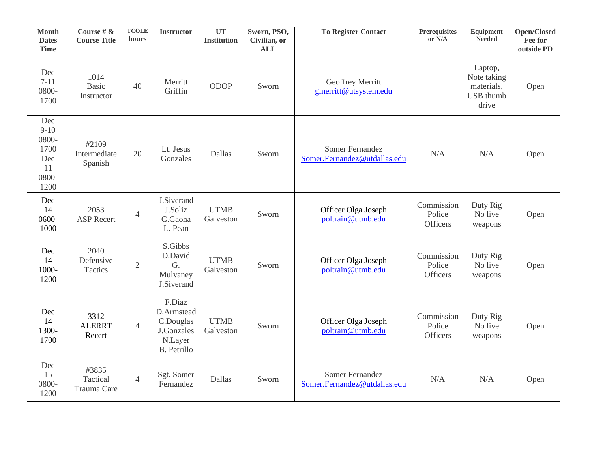| <b>Month</b><br><b>Dates</b><br><b>Time</b>                  | Course # $\&$<br><b>Course Title</b> | <b>TCOLE</b><br>hours | <b>Instructor</b>                                                                | UT<br><b>Institution</b> | Sworn, PSO,<br>Civilian, or<br><b>ALL</b> | <b>To Register Contact</b>                             | Prerequisites<br>or N/A                 | Equipment<br><b>Needed</b>                                        | Open/Closed<br>Fee for<br>outside PD |
|--------------------------------------------------------------|--------------------------------------|-----------------------|----------------------------------------------------------------------------------|--------------------------|-------------------------------------------|--------------------------------------------------------|-----------------------------------------|-------------------------------------------------------------------|--------------------------------------|
| Dec<br>$7 - 11$<br>0800-<br>1700                             | 1014<br><b>Basic</b><br>Instructor   | 40                    | Merritt<br>Griffin                                                               | <b>ODOP</b>              | Sworn                                     | Geoffrey Merritt<br>gmerritt@utsystem.edu              |                                         | Laptop,<br>Note taking<br>materials,<br><b>USB</b> thumb<br>drive | Open                                 |
| Dec<br>$9-10$<br>0800-<br>1700<br>Dec<br>11<br>0800-<br>1200 | #2109<br>Intermediate<br>Spanish     | 20                    | Lt. Jesus<br>Gonzales                                                            | Dallas                   | Sworn                                     | <b>Somer Fernandez</b><br>Somer.Fernandez@utdallas.edu | N/A                                     | N/A                                                               | Open                                 |
| Dec<br>14<br>0600-<br>1000                                   | 2053<br><b>ASP Recert</b>            | $\overline{4}$        | J.Siverand<br>J.Soliz<br>G.Gaona<br>L. Pean                                      | <b>UTMB</b><br>Galveston | Sworn                                     | Officer Olga Joseph<br>poltrain@utmb.edu               | Commission<br>Police<br><b>Officers</b> | Duty Rig<br>No live<br>weapons                                    | Open                                 |
| Dec<br>14<br>1000-<br>1200                                   | 2040<br>Defensive<br>Tactics         | $\overline{2}$        | S.Gibbs<br>D.David<br>G.<br>Mulvaney<br>J.Siverand                               | <b>UTMB</b><br>Galveston | Sworn                                     | Officer Olga Joseph<br>poltrain@utmb.edu               | Commission<br>Police<br><b>Officers</b> | Duty Rig<br>No live<br>weapons                                    | Open                                 |
| Dec<br>14<br>1300-<br>1700                                   | 3312<br><b>ALERRT</b><br>Recert      | $\overline{4}$        | F.Diaz<br>D.Armstead<br>C.Douglas<br>J.Gonzales<br>N.Layer<br><b>B.</b> Petrillo | <b>UTMB</b><br>Galveston | Sworn                                     | Officer Olga Joseph<br>poltrain@utmb.edu               | Commission<br>Police<br><b>Officers</b> | Duty Rig<br>No live<br>weapons                                    | Open                                 |
| Dec<br>15<br>0800-<br>1200                                   | #3835<br>Tactical<br>Trauma Care     | $\overline{4}$        | Sgt. Somer<br>Fernandez                                                          | Dallas                   | Sworn                                     | Somer Fernandez<br>Somer.Fernandez@utdallas.edu        | N/A                                     | N/A                                                               | Open                                 |